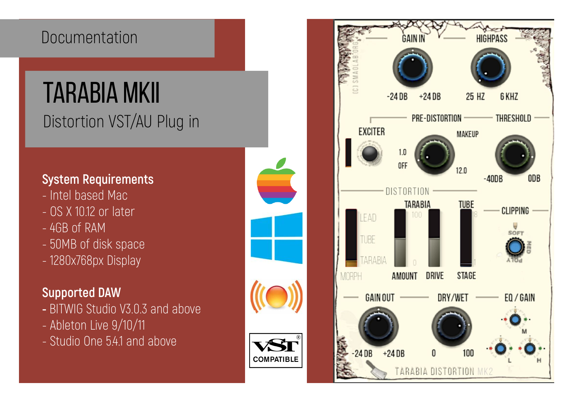# **Documentation**

# Tarabia MKII

Distortion VST/AU Plug in

#### **System Requirements**

- Intel based Mac
- OS X 10.12 or later
- 4GB of RAM
- 50MB of disk space
- 1280x768px Display

#### **Supported DAW**

**-** BITWIG Studio V3.0.3 and above

Audio Unit

**COMPATIBLE** 

- Ableton Live 9/10/11
- Studio One 5.4.1 and above

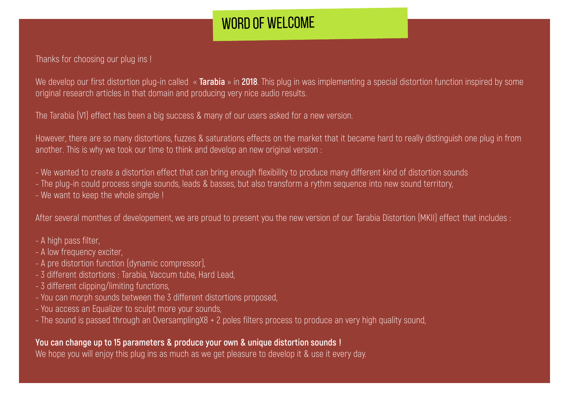## **WORD OF WELCOME**

Thanks for choosing our plug ins !

We develop our first distortion plug-in called « **Tarabia** » in **2018**. This plug in was implementing a special distortion function inspired by some original research articles in that domain and producing very nice audio results.

The Tarabia (V1) effect has been a big success & many of our users asked for a new version.

However, there are so many distortions, fuzzes & saturations effects on the market that it became hard to really distinguish one plug in from another. This is why we took our time to think and develop an new original version :

- We wanted to create a distortion effect that can bring enough flexibility to produce many different kind of distortion sounds

- The plug-in could process single sounds, leads & basses, but also transform a rythm sequence into new sound territory,

- We want to keep the whole simple !

After several monthes of developement, we are proud to present you the new version of our Tarabia Distortion (MKII) effect that includes :

- A high pass filter,
- A low frequency exciter,
- A pre distortion function (dynamic compressor),
- 3 different distortions : Tarabia, Vaccum tube, Hard Lead,
- 3 different clipping/limiting functions,
- You can morph sounds between the 3 different distortions proposed,
- You access an Equalizer to sculpt more your sounds,
- The sound is passed through an OversamplingX8 + 2 poles filters process to produce an very high quality sound,

#### **You can change up to 15 parameters & produce your own & unique distortion sounds !**

We hope you will enjoy this plug ins as much as we get pleasure to develop it & use it every day.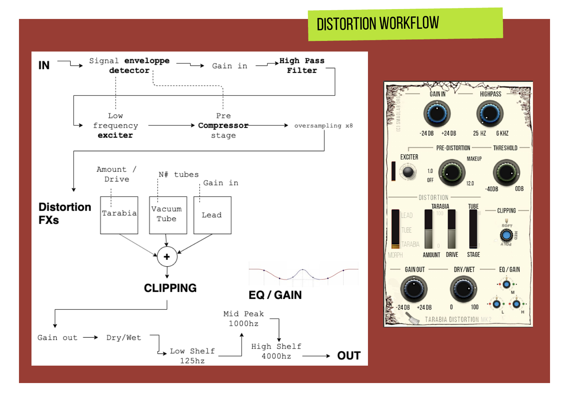# DISTORTION WORKFLOW



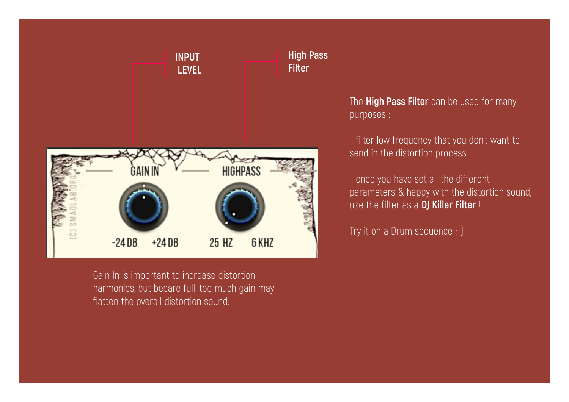

Gain In is important to increase distortion harmonics, but becare full, too much gain may flatten the overall distortion sound.

The **High Pass Filter** can be used for many purposes :

- filter low frequency that you don't want to send in the distortion process

- once you have set all the different parameters & happy with the distortion sound, use the filter as a **DJ Killer Filter** !

Try it on a Drum sequence ;-)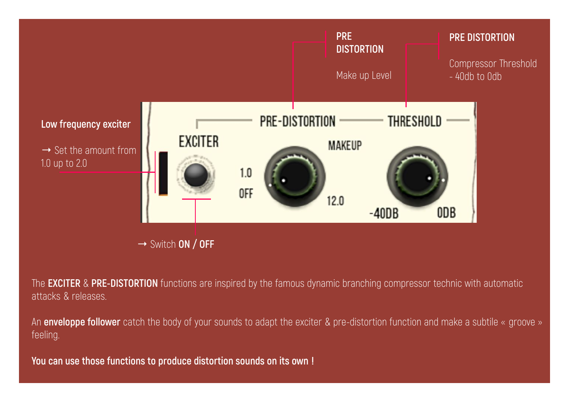

The **EXCITER** & **PRE-DISTORTION** functions are inspired by the famous dynamic branching compressor technic with automatic attacks & releases.

An **enveloppe follower** catch the body of your sounds to adapt the exciter & pre-distortion function and make a subtile « groove » feeling.

**You can use those functions to produce distortion sounds on its own !**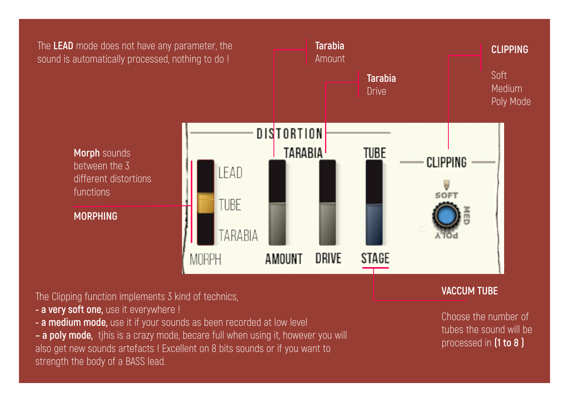

**- a medium mode,** use it if your sounds as been recorded at low level

**– a poly mode,** tjhis is a crazy mode, becare full when using it, however you will also get new sounds artefacts ! Excellent on 8 bits sounds or if you want to strength the body of a BASS lead.

Choose the number of tubes the sound will be processed in **(1 to 8 )**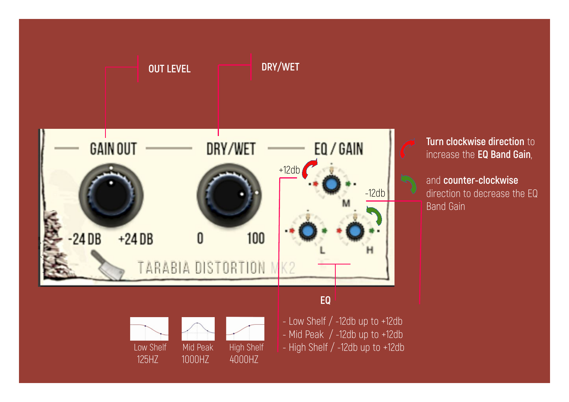

**Turn clockwise direction** to increase the **EQ Band Gain**,

and **counter-clockwise** direction to decrease the EQ Band Gain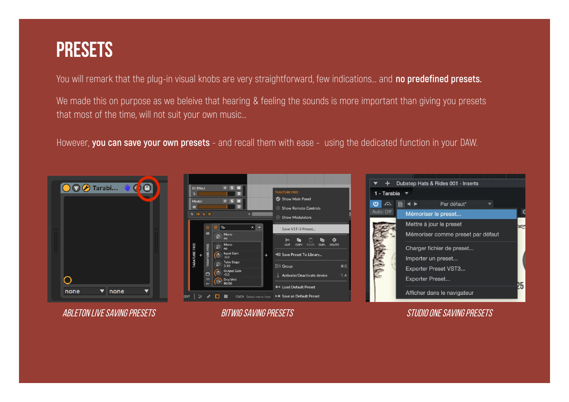# **presets**

You will remark that the plug-in visual knobs are very straightforward, few indications… and **no predefined presets.** 

We made this on purpose as we beleive that hearing & feeling the sounds is more important than giving you presets that most of the time, will not suit your own music…

However, **you can save your own presets** - and recall them with ease - using the dedicated function in your DAW.



Ableton Live Saving Presets Bitwig Saving Presets Studio One Saving Presets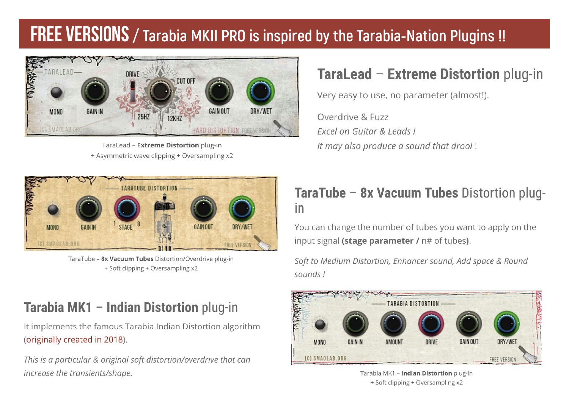# **FREE VERSIONS / Tarabia MKII PRO is inspired by the Tarabia-Nation Plugins !!**



TaraLead - Extreme Distortion plug-in + Asymmetric wave clipping + Oversampling x2



TaraTube - 8x Vacuum Tubes Distortion/Overdrive plug-in + Soft clipping + Oversampling x2

### Tarabia MK1 - Indian Distortion plug-in

It implements the famous Tarabia Indian Distortion algorithm (originally created in 2018).

This is a particular & original soft distortion/overdrive that can increase the transients/shape.

# **TaraLead - Extreme Distortion plug-in**

Very easy to use, no parameter (almost!).

Overdrive & Fuzz Excel on Guitar & Leads! It may also produce a sound that drool!

#### TaraTube - 8x Vacuum Tubes Distortion plugin

You can change the number of tubes you want to apply on the input signal (stage parameter / n# of tubes).

Soft to Medium Distortion, Enhancer sound, Add space & Round sounds!



Tarabia MK1 - Indian Distortion plug-in + Soft clipping + Oversampling x2